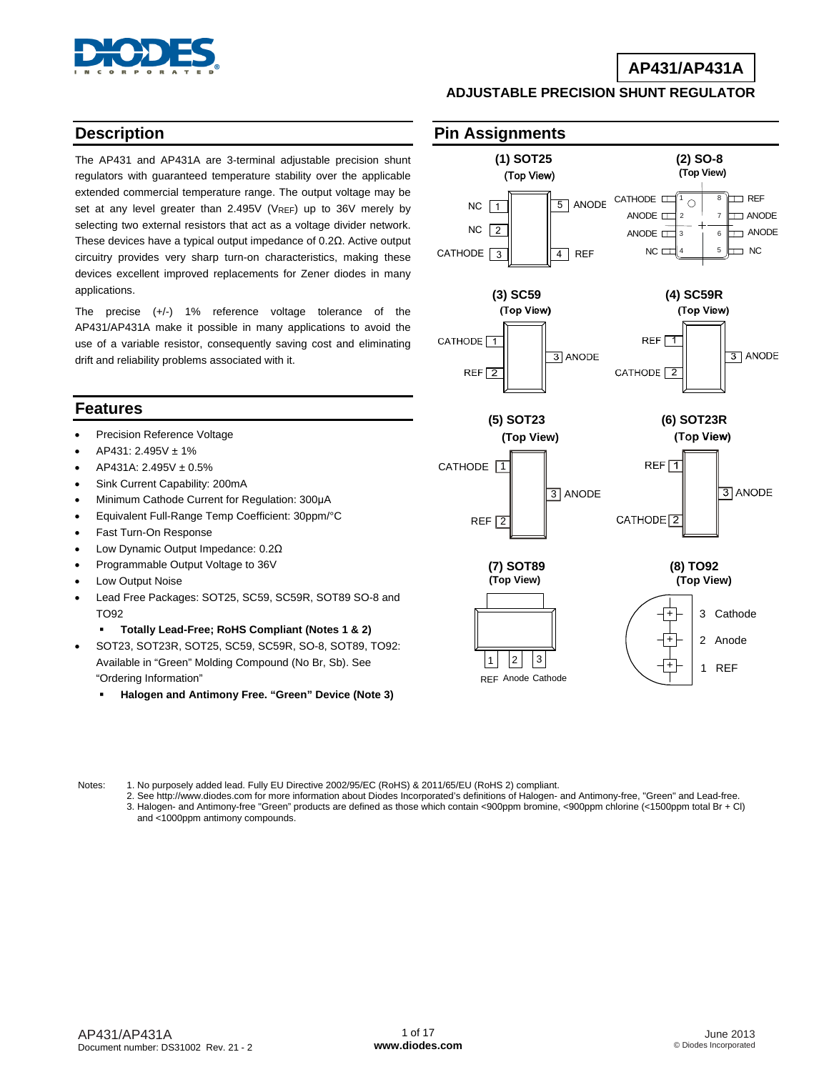

### **AP431/AP431A**

#### **ADJUSTABLE PRECISION SHUNT REGULATOR**

### **Description**

The AP431 and AP431A are 3-terminal adjustable precision shunt regulators with guaranteed temperature stability over the applicable extended commercial temperature range. The output voltage may be set at any level greater than 2.495V ( $V_{REF}$ ) up to 36V merely by selecting two external resistors that act as a voltage divider network. These devices have a typical output impedance of 0.2Ω. Active output circuitry provides very sharp turn-on characteristics, making these devices excellent improved replacements for Zener diodes in many applications.

The precise (+/-) 1% reference voltage tolerance of the AP431/AP431A make it possible in many applications to avoid the use of a variable resistor, consequently saving cost and eliminating drift and reliability problems associated with it.

#### **Features**

- Precision Reference Voltage
- AP431: 2.495V ± 1%
- AP431A: 2.495V ± 0.5%
- Sink Current Capability: 200mA
- Minimum Cathode Current for Regulation: 300μA
- Equivalent Full-Range Temp Coefficient: 30ppm/°C
- Fast Turn-On Response
- Low Dynamic Output Impedance: 0.2Ω
- Programmable Output Voltage to 36V
- Low Output Noise
- Lead Free Packages: SOT25, SC59, SC59R, SOT89 SO-8 and TO92
	- **Totally Lead-Free; RoHS Compliant (Notes 1 & 2)**
- SOT23, SOT23R, SOT25, SC59, SC59R, SO-8, SOT89, TO92: Available in "Green" Molding Compound (No Br, Sb). See "Ordering Information"
	- **Halogen and Antimony Free. "Green" Device (Note 3)**

### **Pin Assignments**



Notes: 1. No purposely added lead. Fully EU Directive 2002/95/EC (RoHS) & 2011/65/EU (RoHS 2) compliant.

 2. See [http://www.diodes.com fo](http://www.diodes.com)r more information about Diodes Incorporated's definitions of Halogen- and Antimony-free, "Green" and Lead-free. 3. Halogen- and Antimony-free "Green" products are defined as those which contain <900ppm bromine, <900ppm chlorine (<1500ppm total Br + Cl) and <1000ppm antimony compounds.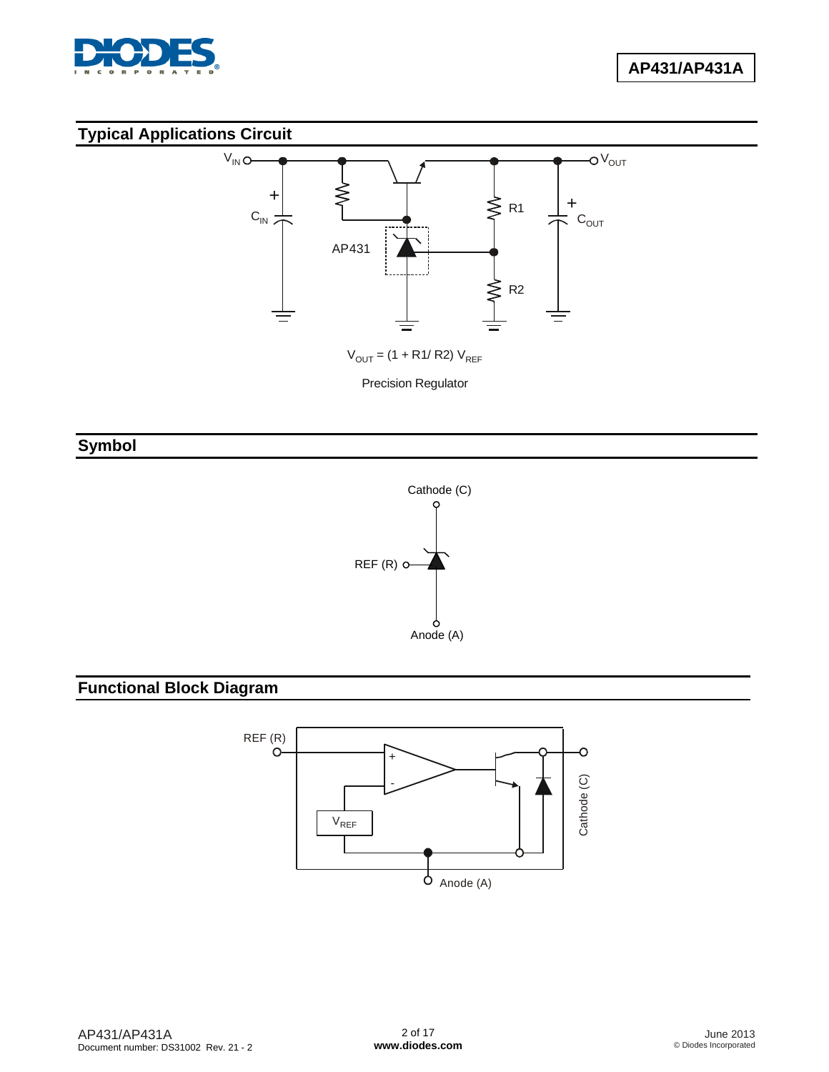

## **Typical Applications Circuit**



 $V_{\text{OUT}} = (1 + R1/R2) V_{\text{REF}}$ 

Precision Regulator

## **Symbol**



# **Functional Block Diagram**

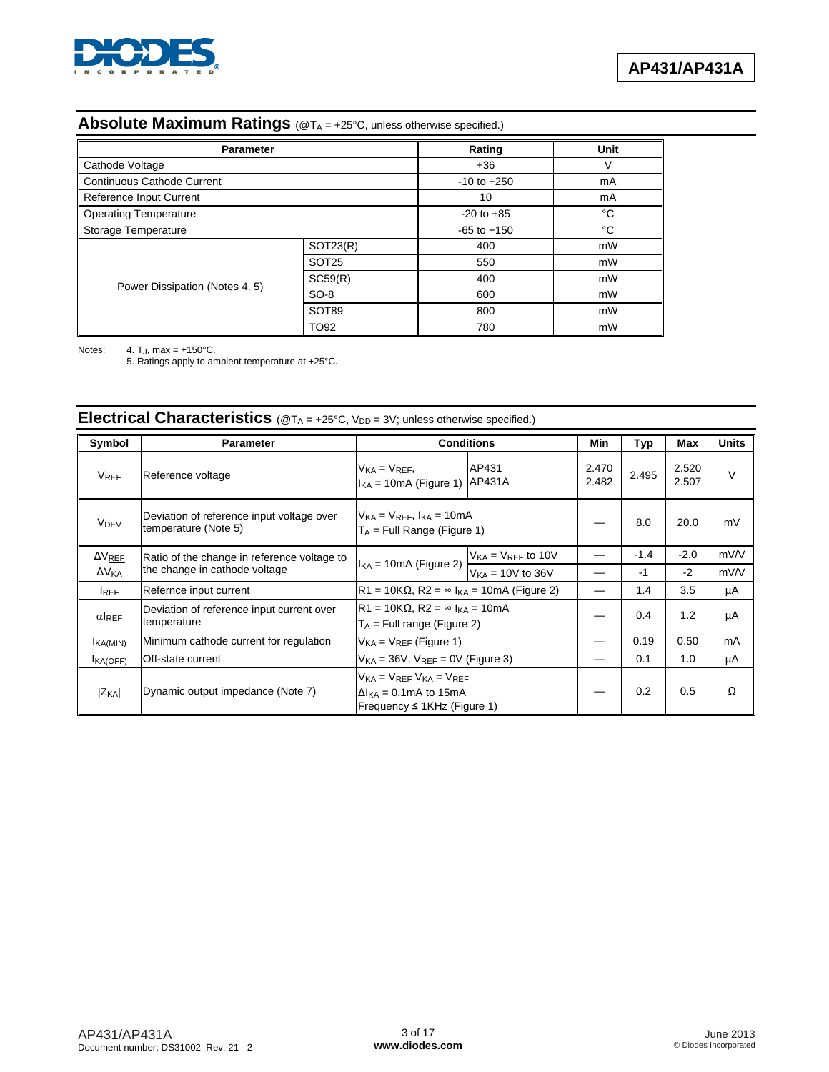

#### **Absolute Maximum Ratings** (@TA = +25°C, unless otherwise specified.)

| <b>Parameter</b>                  |                   | Rating          | Unit |
|-----------------------------------|-------------------|-----------------|------|
| Cathode Voltage                   |                   | $+36$           | V    |
| <b>Continuous Cathode Current</b> |                   | $-10$ to $+250$ | mA   |
| Reference Input Current           |                   | 10              | mA   |
| <b>Operating Temperature</b>      |                   | $-20$ to $+85$  | °C   |
| Storage Temperature               |                   | $-65$ to $+150$ | °C   |
|                                   | SOT23(R)          | 400             | mW   |
|                                   | SOT <sub>25</sub> | 550             | mW   |
|                                   | SC59(R)           | 400             | mW   |
| Power Dissipation (Notes 4, 5)    | $SO-8$            | 600             | mW   |
|                                   | SOT89             | 800             | mW   |
|                                   | TO <sub>92</sub>  | 780             | mW   |

Notes:  $4. T_J$ , max = +150°C.

5. Ratings apply to ambient temperature at +25°C.

#### **Symbol Parameter Conditions Min Typ Max Units**   $V_{REF}$  Reference voltage  $V_{KAF}$ ,  $V_{KAF}$ ,  $V_{KAF}$  $I_{\text{KA}}$  = 10mA (Figure 1)  $AP431A$ AP431 2.470  $\begin{array}{|c|c|c|c|}\n 2.470 & 2.495 & 2.520 \\
2.482 & 2.507 & & \n\end{array}$  $2.507$  V V<sub>DEV</sub> Deviation of reference input voltage over temperature (Note 5)  $V<sub>KA</sub> = V<sub>REF</sub>, I<sub>KA</sub> = 10mA$  $T_A$  = Full Range (Figure 1) — 8.0 20.0 mV ΔVREF ΔV<sub>KA</sub> Ratio of the change in reference voltage to Ratio of the change in reference voltage  $\log_{10}(k_A = 10 \text{ mA})$  (Figure 2)  $V_{\text{KA}} = V_{\text{REF}}$  to 10V  $| - | -1.4 | -2.0 | mV/V$  $V_{\text{KA}} = 10V$  to 36V  $\vert - \vert -1 \vert -1 \vert -2 \vert$  mV/V IREF Refernce input current R1 = 10KΩ, R2 = ∞ I<sub>KA</sub> = 10mA (Figure 2)  $-$  1.4 3.5 µA  $\alpha$ <sub>REF</sub> Deviation of reference input current over temperature  $R1 = 10KΩ$ ,  $R2 = ∞ I<sub>KA</sub> = 10mA$  $T_A$  = Full range (Figure 2)  $T_A$  =  $T_A$  =  $T_A$  =  $T_A$  =  $T_A$  =  $T_A$  +  $T_A$  =  $T_A$  +  $T_A$  +  $T_A$  +  $T_A$  +  $T_A$  +  $T_A$  +  $T_A$  +  $T_A$  +  $T_A$  +  $T_A$  +  $T_A$  +  $T_A$  +  $T_A$  +  $T_A$  +  $T_A$  +  $T_A$  +  $T_A$  +  $T_A$  +  $T_A$  +  $T_A$  +  $T_A$  $I_{\text{KA(MIN)}}$  Minimum cathode current for regulation  $V_{\text{KA}} = V_{\text{REF}}$  (Figure 1)  $\vert$   $\vert$   $\vert$   $\vert$   $\vert$  0.19  $\vert$  0.50  $\vert$  mA  $I_{\text{KA(OFF)}}$  Off-state current  $V_{\text{KA}} = 36V$ ,  $V_{\text{REF}} = 0V$  (Figure 3)  $-$  0.1 1.0 µA  $|Z_{KA}|$  Dynamic output impedance (Note 7)  $V_{KA} = V_{REF} V_{KA} = V_{REF}$  $\Delta I_{\text{KA}} = 0.1 \text{mA}$  to 15mA Frequency ≤ 1KHz (Figure 1)  $-$  0.2 0.5  $\Omega$

### Electrical Characteristics  $(@T_A = +25°C, V_{DD} = 3V;$  unless otherwise specified.)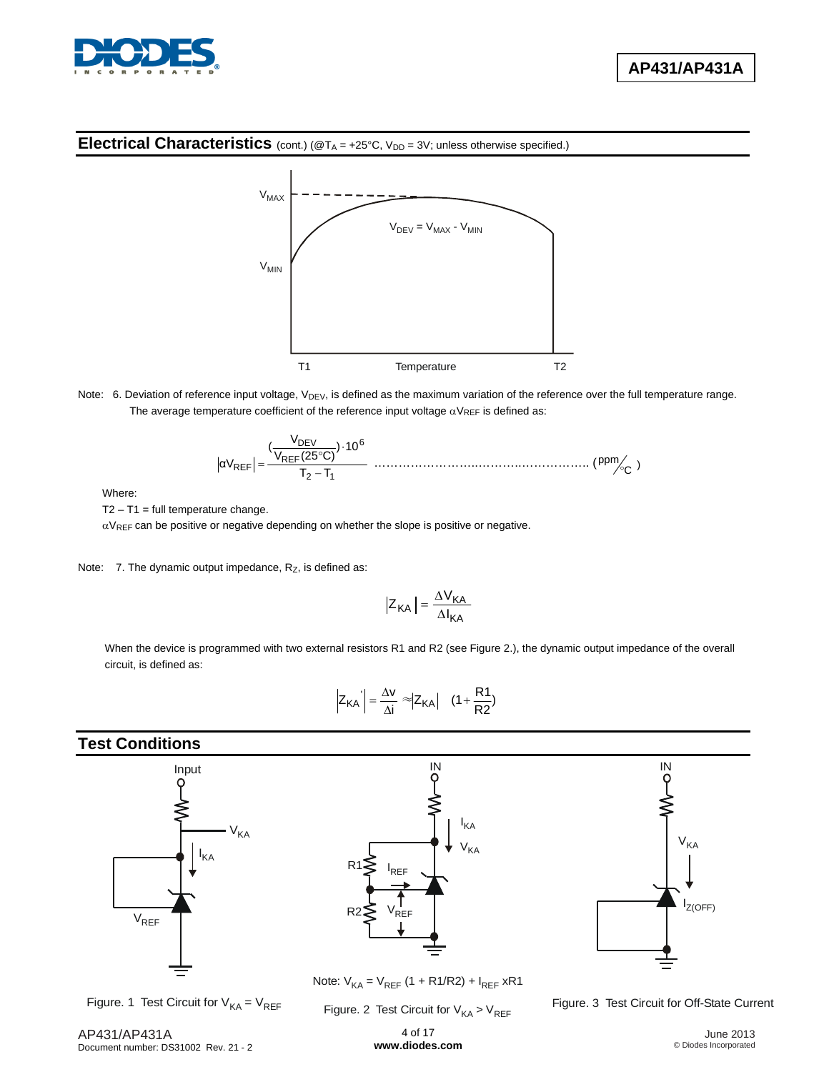

#### **Electrical Characteristics** (cont.) (@T<sub>A</sub> = +25°C, V<sub>DD</sub> = 3V; unless otherwise specified.)



Note: 6. Deviation of reference input voltage, V<sub>DEV</sub>, is defined as the maximum variation of the reference over the full temperature range. The average temperature coefficient of the reference input voltage  $\alpha V_{REF}$  is defined as:

12 6 REF DEV REF TT 10) C)(25V <sup>V</sup> ( <sup>α</sup><sup>V</sup> ……………………..………..…………….. ( ) C ppm

Where:

 $T2 - T1 = full temperature change.$ 

 $\alpha V_{REF}$  can be positive or negative depending on whether the slope is positive or negative.

Note:  $7.$  The dynamic output impedance,  $R_Z$ , is defined as:

$$
\left|Z_{\mathsf{KA}}\right| = \frac{\Delta V_{\mathsf{KA}}}{\Delta I_{\mathsf{KA}}}
$$

When the device is programmed with two external resistors R1 and R2 (see Figure 2.), the dynamic output impedance of the overall circuit, is defined as:

$$
\left| Z_{KA} \right| = \frac{\Delta v}{\Delta i} \approx \left| Z_{KA} \right| \quad (1 + \frac{R1}{R2})
$$

### **Test Conditions**



Figure. 1 Test Circuit for  $V_{KA} = V_{REF}$ 





Note: V<sub>KA</sub> = V<sub>REF</sub> (1 + R1/R2) + I<sub>REF</sub> xR1

Figure. 2 Test Circuit for  $\mathsf{V}_{\mathsf{KA}}$  >  $\mathsf{V}_{\mathsf{REF}}$ 

Figure. 3 Test Circuit for Off-State Current

4 of 17 **[www.diodes.com](http://www.diodes.com)**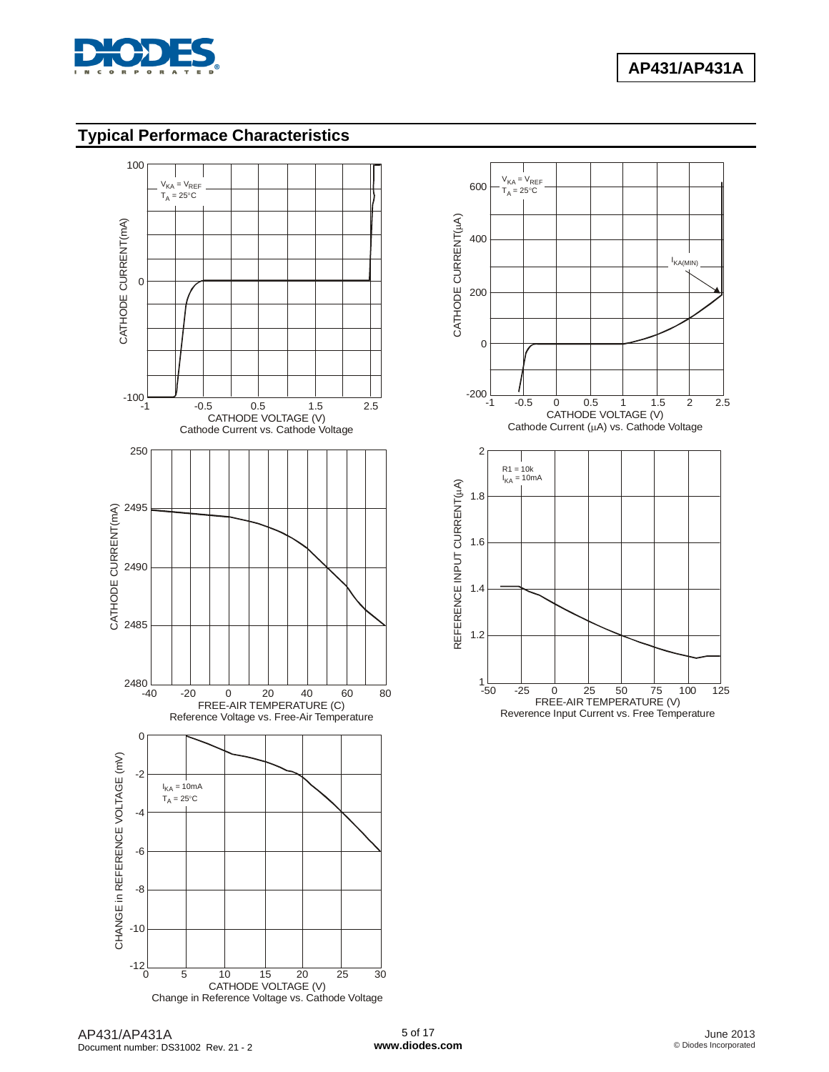

### **Typical Performace Characteristics**



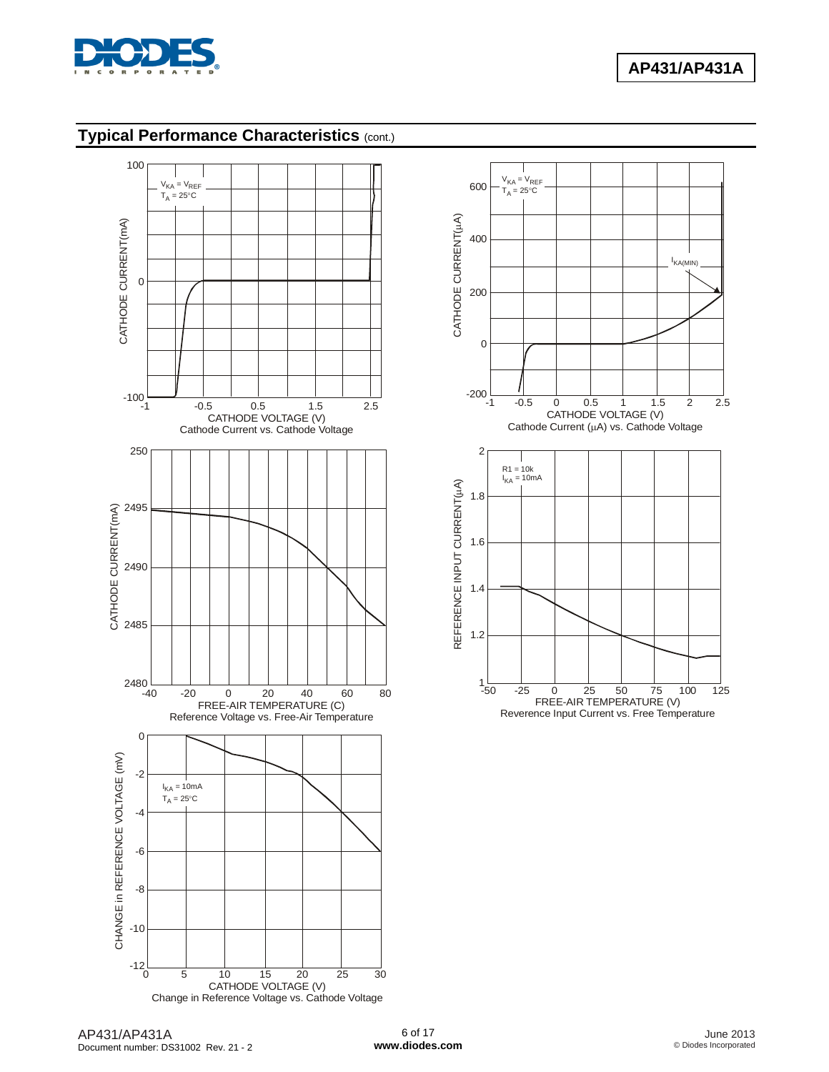

# **Typical Performance Characteristics** (cont.)



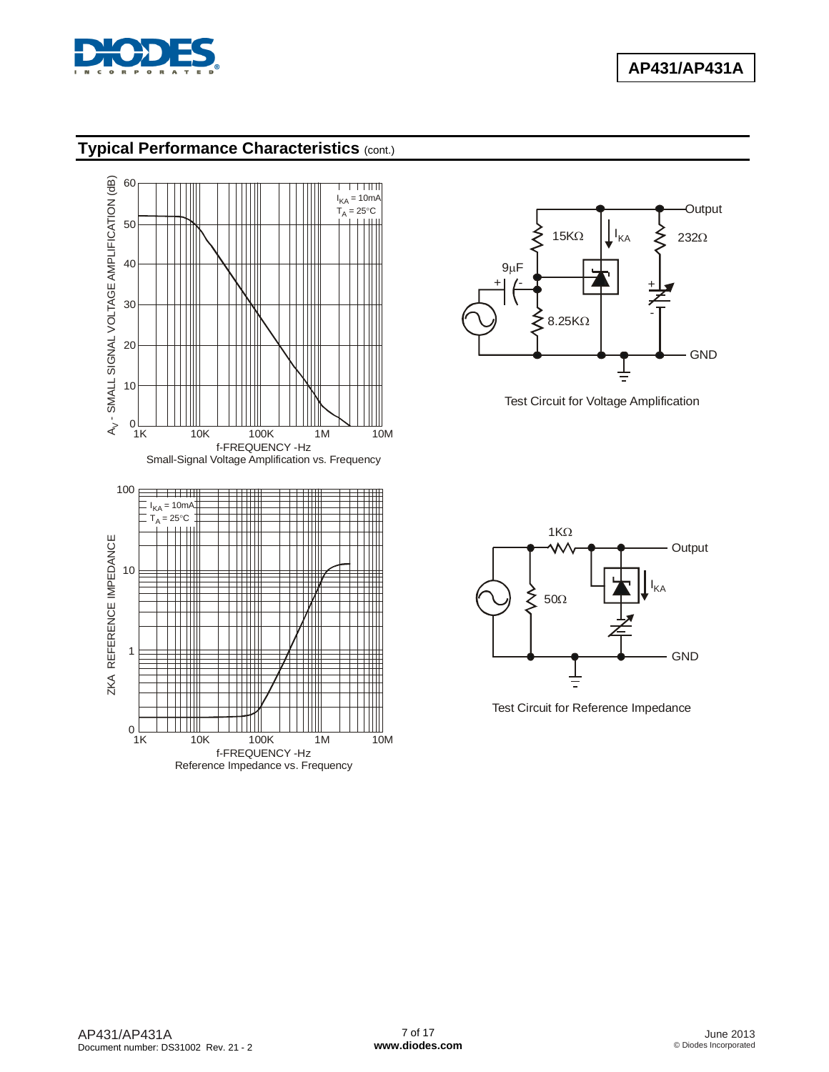

### **Typical Performance Characteristics** (cont.)





Test Circuit for Voltage Amplification



Test Circuit for Reference Impedance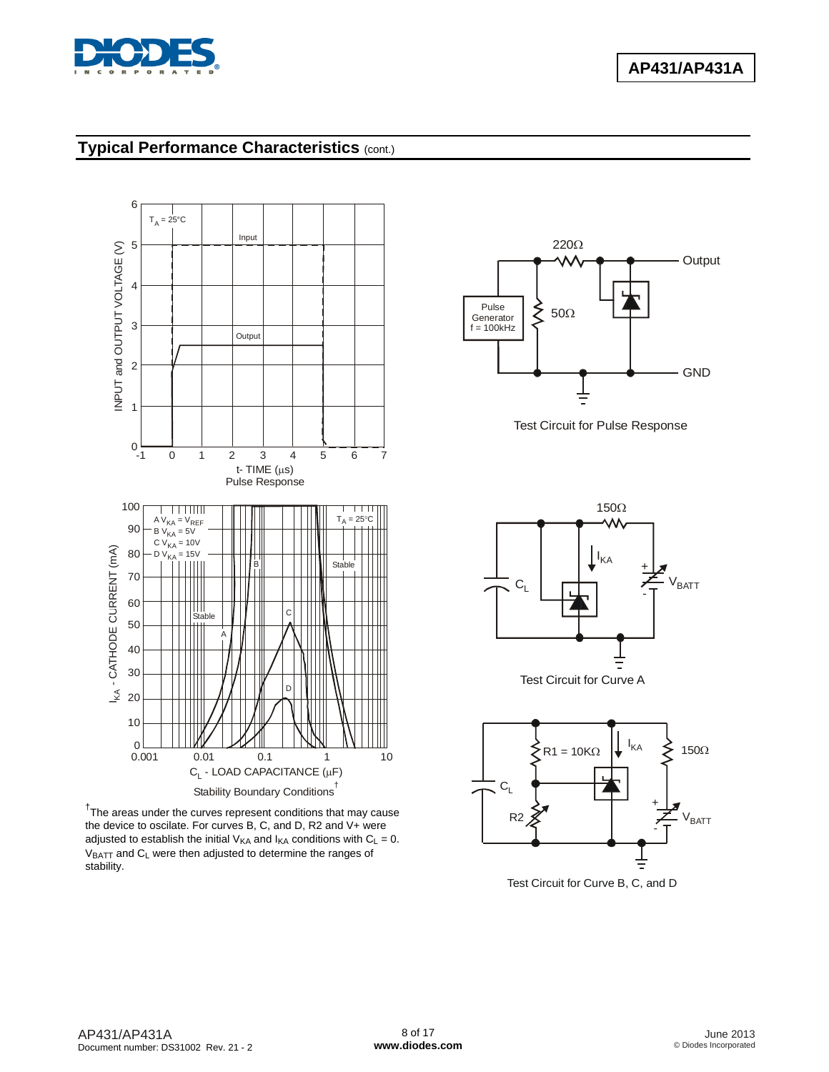

### **Typical Performance Characteristics** (cont.)



<sup>†</sup>The areas under the curves represent conditions that may cause the device to oscilate. For curves B, C, and D, R2 and V+ were adjusted to establish the initial  $V_{KA}$  and  $I_{KA}$  conditions with  $C_L = 0$ .  $V_{BATT}$  and  $C_L$  were then adjusted to determine the ranges of stability.



Test Circuit for Pulse Response





Test Circuit for Curve B, C, and D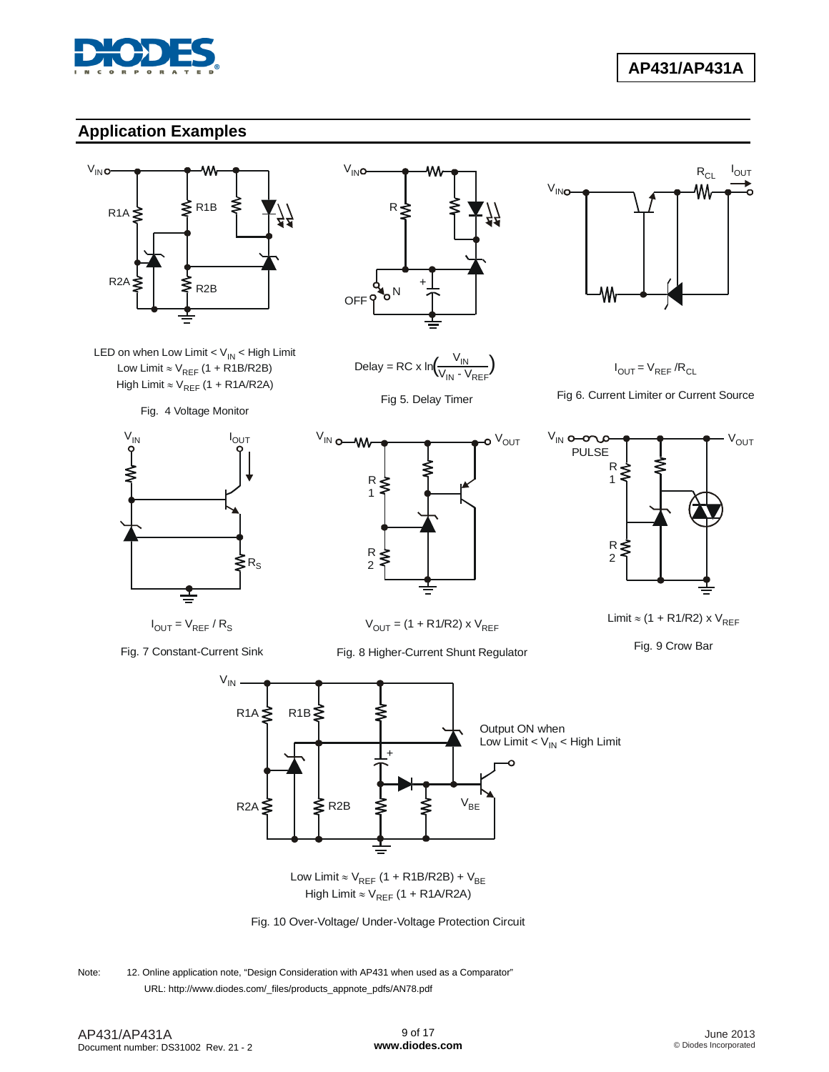

### **Application Examples**





Fig. 4 Voltage Monitor



 $I_{\text{OUT}} = V_{\text{REF}} / R_{\text{S}}$ 

Fig. 7 Constant-Current Sink





Fig 5. Delay Timer



 $I_{OUT} = V_{REF} / R_{CL}$ 

Fig 6. Current Limiter or Current Source







 $V_{OUT} = (1 + R1/R2) \times V_{REF}$ 

Fig. 8 Higher-Current Shunt Regulator

Limit  $\approx$  (1 + R1/R2) x  $V_{REF}$ 

Fig. 9 Crow Bar



Low Limit  $\approx$  V<sub>RFF</sub> (1 + R1B/R2B) + V High  $\approx$  V<sub>REF</sub> (1 + R1B/R2B) + V<sub>BE</sub> Limit  $\approx$  V<sub>REF</sub> (1 + R1A/R2A)



Note: 12. Online application note, "Design Consideration with AP431 when used as a Comparator" URL: [http://www.diodes.com/\\_files/products\\_appnote\\_pdfs/AN78.pdf](http://www.diodes.com/_files/products_appnote_pdfs/AN78.pdf)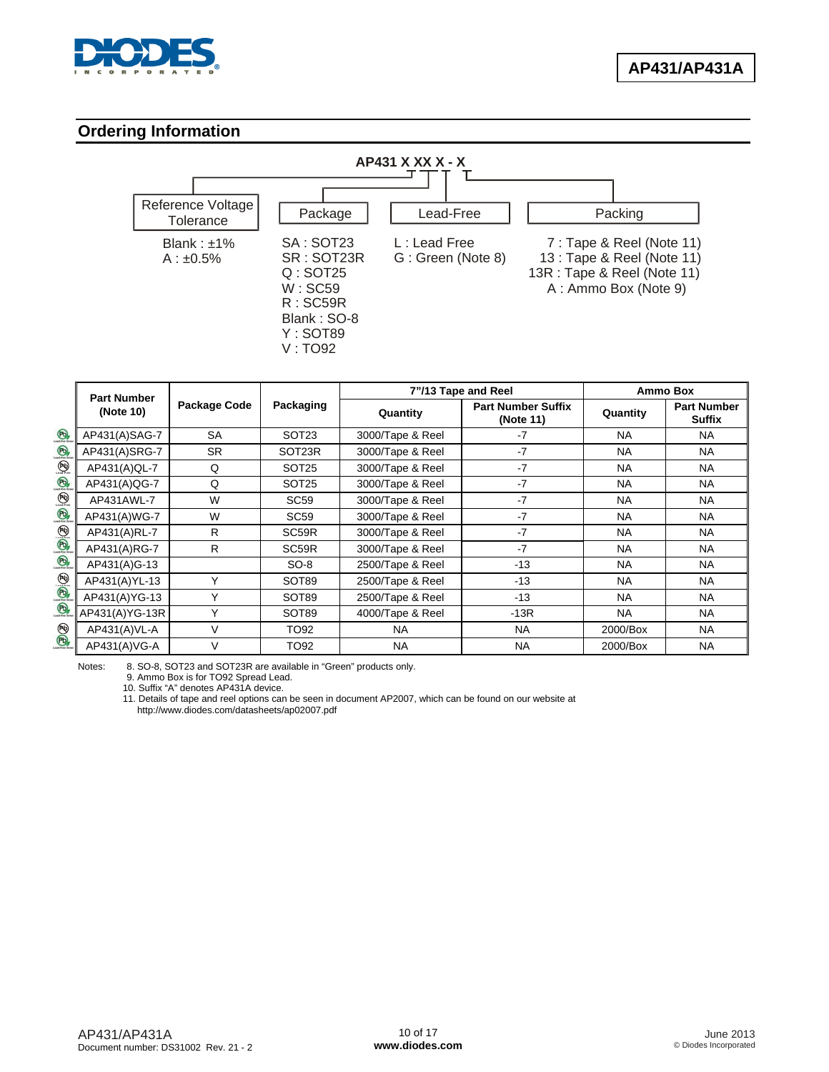

### **Ordering Information**



|                                 | <b>Part Number</b> |              | 7"/13 Tape and Reel |                  | <b>Ammo Box</b>                        |           |                                     |
|---------------------------------|--------------------|--------------|---------------------|------------------|----------------------------------------|-----------|-------------------------------------|
|                                 | (Note 10)          | Package Code | Packaging           | Quantity         | <b>Part Number Suffix</b><br>(Note 11) | Quantity  | <b>Part Number</b><br><b>Suffix</b> |
| $\circledR$                     | AP431(A)SAG-7      | <b>SA</b>    | SOT <sub>23</sub>   | 3000/Tape & Reel | -7                                     | <b>NA</b> | <b>NA</b>                           |
| $\circledR$                     | AP431(A)SRG-7      | SR.          | SOT23R              | 3000/Tape & Reel | $-7$                                   | <b>NA</b> | <b>NA</b>                           |
| $\bigoplus_{\text{lead-free}}$  | AP431(A)QL-7       | Q            | SOT <sub>25</sub>   | 3000/Tape & Reel | $-7$                                   | <b>NA</b> | NA                                  |
| $\bigcirc$                      | AP431(A)QG-7       | Q            | SOT <sub>25</sub>   | 3000/Tape & Reel | $-7$                                   | <b>NA</b> | <b>NA</b>                           |
| $\binom{p_0}{\text{load-free}}$ | AP431AWL-7         | W            | <b>SC59</b>         | 3000/Tape & Reel | $-7$                                   | <b>NA</b> | <b>NA</b>                           |
| $\bigcirc$                      | AP431(A)WG-7       | W            | SC <sub>59</sub>    | 3000/Tape & Reel | $-7$                                   | <b>NA</b> | <b>NA</b>                           |
| $\circledR$                     | AP431(A)RL-7       | R            | SC59R               | 3000/Tape & Reel | $-7$                                   | <b>NA</b> | NA                                  |
|                                 | AP431(A)RG-7       | R            | SC59R               | 3000/Tape & Reel | $-7$                                   | <b>NA</b> | <b>NA</b>                           |
| $\circledR$                     | AP431(A)G-13       |              | $SO-8$              | 2500/Tape & Reel | $-13$                                  | <b>NA</b> | <b>NA</b>                           |
|                                 | AP431(A)YL-13      | Υ            | SOT89               | 2500/Tape & Reel | $-13$                                  | <b>NA</b> | <b>NA</b>                           |
| $\circledast$                   | AP431(A)YG-13      | $\checkmark$ | SOT89               | 2500/Tape & Reel | $-13$                                  | NA.       | NA                                  |
|                                 | AP431(A)YG-13R     | Υ            | SOT89               | 4000/Tape & Reel | $-13R$                                 | <b>NA</b> | <b>NA</b>                           |
| $\circledast$                   | AP431(A)VL-A       | $\vee$       | TO92                | <b>NA</b>        | NA.                                    | 2000/Box  | <b>NA</b>                           |
|                                 | AP431(A)VG-A       | $\vee$       | TO92                | <b>NA</b>        | <b>NA</b>                              | 2000/Box  | <b>NA</b>                           |

Notes: 8. SO-8, SOT23 and SOT23R are available in "Green" products only.

9. Ammo Box is for TO92 Spread Lead.

10. Suffix "A" denotes AP431A device.

 11. Details of tape and reel options can be seen in document AP2007, which can be found on our website at <http://www.diodes.com/datasheets/ap02007.pdf>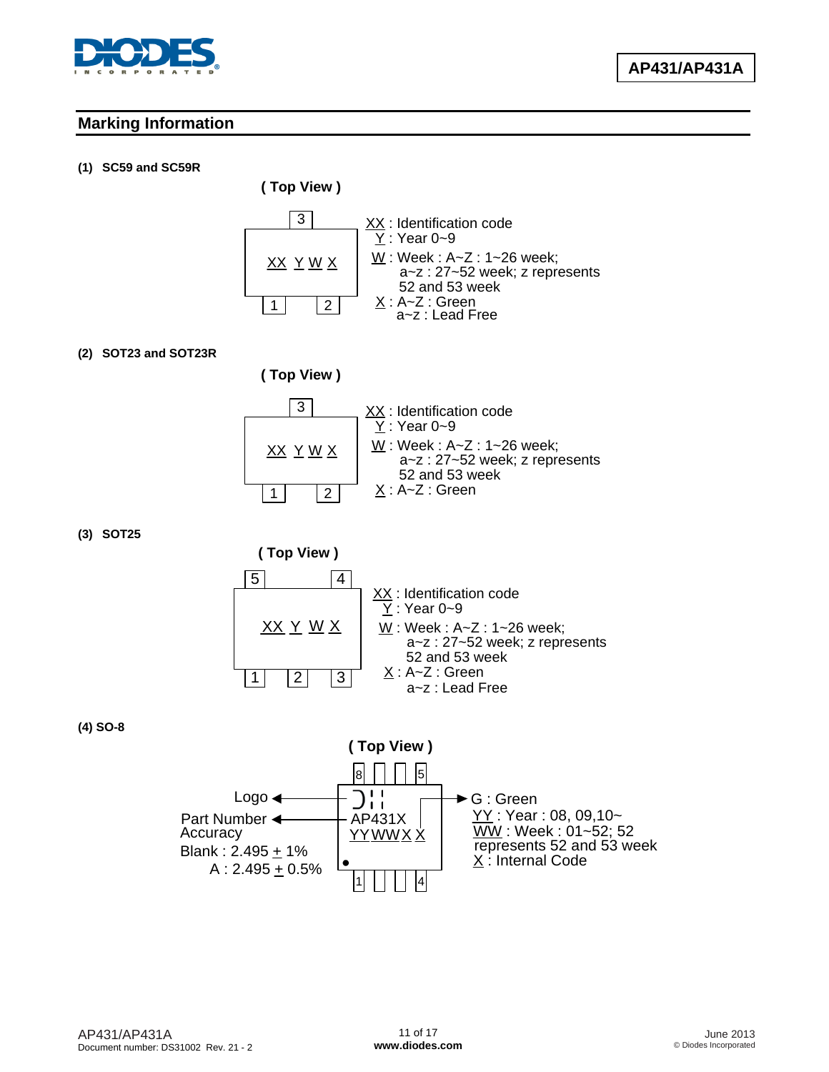

### **Marking Information**

#### **(1) SC59 and SC59R**

**( Top View )**



#### **(2) SOT23 and SOT23R**



**(3) SOT25** 



**(4) SO-8** 

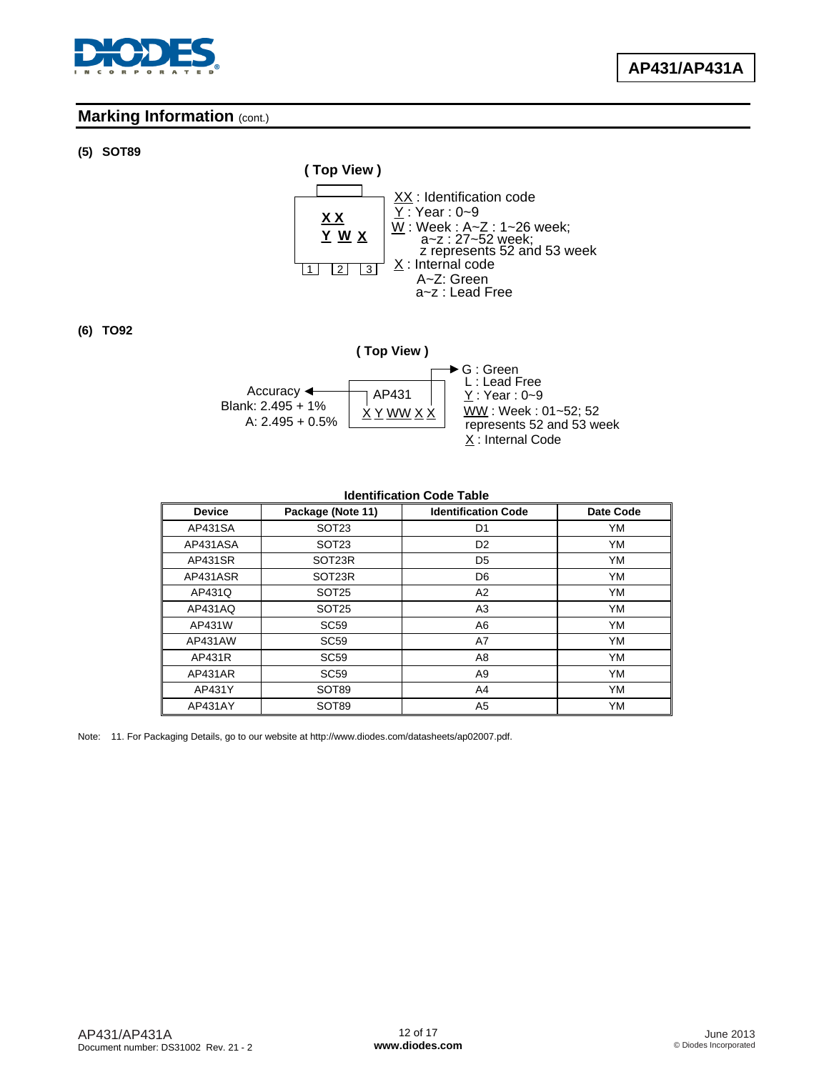

### **Marking Information (cont.)**

#### **(5) SOT89**



**(6) TO92** 



#### **Identification Code Table**

| <b>Device</b>  | Package (Note 11)  | <b>Identification Code</b> | <b>Date Code</b> |
|----------------|--------------------|----------------------------|------------------|
| AP431SA        | SOT <sub>23</sub>  | D1                         | <b>YM</b>        |
| AP431ASA       | SOT <sub>23</sub>  | D <sub>2</sub>             | YM               |
| <b>AP431SR</b> | SOT <sub>23R</sub> | D5                         | YM               |
| AP431ASR       | SOT <sub>23R</sub> | D6                         | <b>YM</b>        |
| AP431Q         | SOT <sub>25</sub>  | A2                         | YM               |
| AP431AQ        | SOT <sub>25</sub>  | A3                         | <b>YM</b>        |
| AP431W         | <b>SC59</b>        | A6                         | <b>YM</b>        |
| AP431AW        | <b>SC59</b>        | A7                         | <b>YM</b>        |
| AP431R         | <b>SC59</b>        | A8                         | YM               |
| AP431AR        | <b>SC59</b>        | A9                         | YM               |
| AP431Y         | SOT89              | A4                         | YM               |
| AP431AY        | SOT89              | A5                         | YM               |

Note: 11. For Packaging Details, go to our website at [http://www.diodes.com/datasheets/ap02007.pdf.](http://www.diodes.com/datasheets/ap02007.pdf)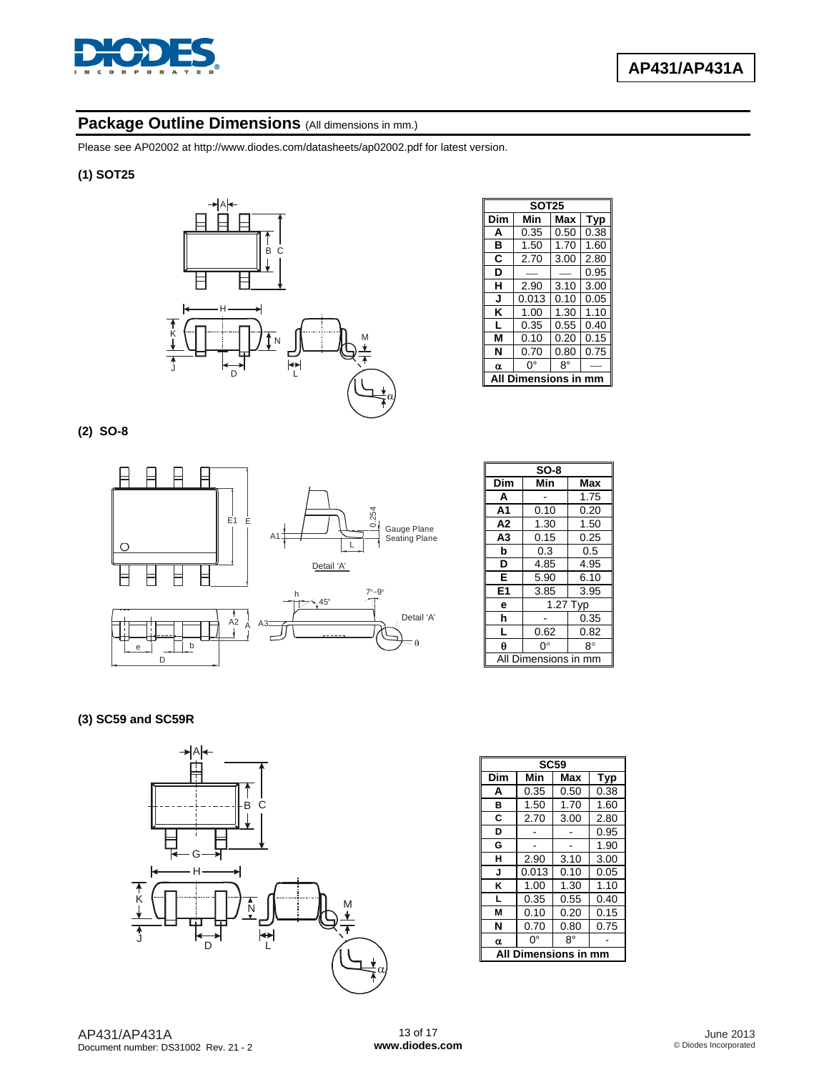

### Package Outline Dimensions (All dimensions in mm.)

Please see AP02002 at [http://www.diodes.com/datasheets/ap02002.pdf fo](http://www.diodes.com/datasheets/ap02002.pdf)r latest version.

#### **(1) SOT25**

![](_page_12_Figure_5.jpeg)

| <b>SOT25</b> |       |             |            |
|--------------|-------|-------------|------------|
| Dim          | Min   | Max         | <b>Typ</b> |
| A            | 0.35  | 0.50        | 0.38       |
| в            | 1.50  | 1.70        | 1.60       |
| С            | 2.70  | 3.00        | 2.80       |
| D            |       |             | 0.95       |
| н            | 2.90  | 3.10        | 3.00       |
| J            | 0.013 | 0.10        | 0.05       |
| ĸ            | 1.00  | 1.30        | 1.10       |
| L            | 0.35  | 0.55        | 0.40       |
| м            | 0.10  | 0.20        | 0.15       |
| N            | 0.70  | 0.80        | 0.75       |
| α            | 0°    | 8°          |            |
|              |       | nensions ir |            |

#### **(2) SO-8**

![](_page_12_Figure_8.jpeg)

| $SO-8$         |               |      |
|----------------|---------------|------|
| Dim            | Min           | Max  |
| A              |               | 1.75 |
| A1             | 0.10          | 0.20 |
| A <sub>2</sub> | 1.30          | 1.50 |
| A3             | 0.15          | 0.25 |
| b              | 0.3           | 0.5  |
| D              | 4.85          | 4.95 |
| E              | 5.90          | 6.10 |
| E <sub>1</sub> | 3.85          | 3.95 |
| e              | $1.27$ Typ    |      |
| h              |               | 0.35 |
| L              | 0.62          | 0.82 |
| θ              | ŋ۰            | 8°   |
|                | Dimensions in |      |

#### **(3) SC59 and SC59R**

![](_page_12_Figure_11.jpeg)

|     | <b>SC59</b>  |      |      |  |
|-----|--------------|------|------|--|
| Dim | Min          | Max  | Typ  |  |
| A   | 0.35         | 0.50 | 0.38 |  |
| B   | 1.50         | 1.70 | 1.60 |  |
| C   | 2.70         | 3.00 | 2.80 |  |
| D   |              |      | 0.95 |  |
| G   |              |      | 1.90 |  |
| н   | 2.90         | 3.10 | 3.00 |  |
| J   | 0.013        | 0.10 | 0.05 |  |
| ĸ   | 1.00         | 1.30 | 1.10 |  |
| L   | 0.35         | 0.55 | 0.40 |  |
| м   | 0.10         | 0.20 | 0.15 |  |
| N   | 0.70         | 0.80 | 0.75 |  |
| α   | 0°           | 8°   |      |  |
| Αll | Dimensions i |      |      |  |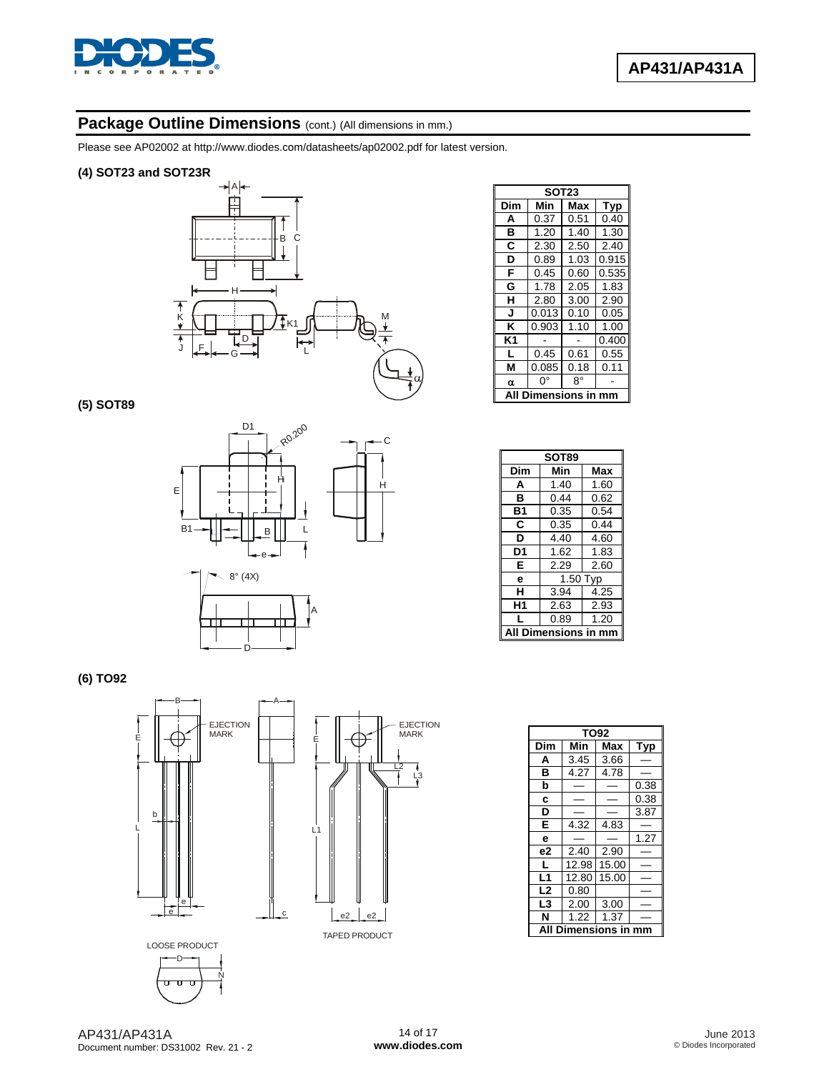![](_page_13_Picture_0.jpeg)

### Package Outline Dimensions (cont.) (All dimensions in mm.)

Please see AP02002 at [http://www.diodes.com/datasheets/ap02002.pdf fo](http://www.diodes.com/datasheets/ap02002.pdf)r latest version.

#### **(4) SOT23 and SOT23R**

![](_page_13_Figure_5.jpeg)

**(5) SOT89** 

![](_page_13_Figure_7.jpeg)

| <b>SOT23</b> |                     |      |       |
|--------------|---------------------|------|-------|
| Dim          | Min                 | Max  | Typ   |
| A            | 0.37                | 0.51 | 0.40  |
| в            | 1.20                | 1.40 | 1.30  |
| C            | 2.30                | 2.50 | 2.40  |
| D            | 0.89                | 1.03 | 0.915 |
| F            | 0.45                | 0.60 | 0.535 |
| G            | 1.78                | 2.05 | 1.83  |
| н            | 2.80                | 3.00 | 2.90  |
| J            | 0.013               | 0.10 | 0.05  |
| ĸ            | 0.903               | 1.10 | 1.00  |
| K1           |                     |      | 0.400 |
| L            | 0.45                | 0.61 | 0.55  |
| М            | 0.085               | 0.18 | 0.11  |
| α            | 0°                  | 8°   |       |
| A            | Dimensions in<br>mm |      |       |

| SOT89   |          |      |
|---------|----------|------|
| Dim     | Min      | Max  |
| A       | 1.40     | 1.60 |
| в       | 0.44     | 0.62 |
| B1      | 0.35     | 0.54 |
| C       | 0.35     | 0.44 |
| D       | 4.40     | 4.60 |
| D1      | 1.62     | 1.83 |
| E       | 2.29     | 2.60 |
| е       | 1.50 Typ |      |
| н       | 3.94     | 4.25 |
| Н1      | 2.63     | 2.93 |
| L       | 0.89     | 1.20 |
| ensions |          |      |

**(6) TO92** 

![](_page_13_Figure_11.jpeg)

N

|                | TO92         |            |      |  |
|----------------|--------------|------------|------|--|
| Dim            | Min          | <b>Max</b> | Typ  |  |
| A              | 3.45         | 3.66       |      |  |
| в              | 4.27         | 4.78       |      |  |
| b              |              |            | 0.38 |  |
| C              |              |            | 0.38 |  |
| D              |              |            | 3.87 |  |
| E              | 4.32         | 4.83       |      |  |
| e              |              |            | 1.27 |  |
| e <sub>2</sub> | 2.40         | 2.90       |      |  |
| L              | 12.98        | 15.00      |      |  |
| L1             | 12.80        | 15.00      |      |  |
| L <sub>2</sub> | 0.80         |            |      |  |
| L3             | 2.00         | 3.00       |      |  |
| N              | 1.22         | 1.37       |      |  |
|                | Dimensions i |            |      |  |

EJECTION MARK

L2 L3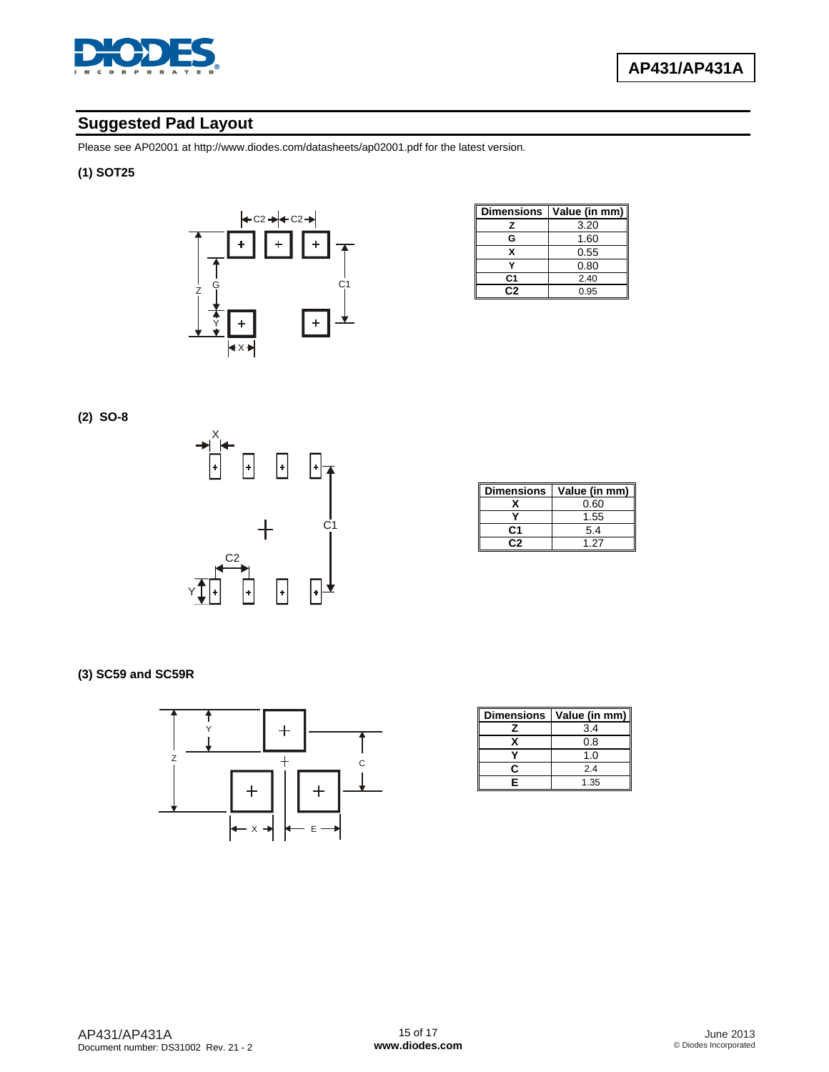![](_page_14_Picture_0.jpeg)

### **Suggested Pad Layout**

Please see AP02001 at [http://www.diodes.com/datasheets/ap02001.pdf fo](http://www.diodes.com/datasheets/ap02001.pdf)r the latest version.

#### **(1) SOT25**

![](_page_14_Figure_5.jpeg)

| <b>Dimensions</b> | Value (in mm) |
|-------------------|---------------|
| z                 | 3.20          |
| G                 | 1.60          |
| x                 | 0.55          |
|                   | 0.80          |
| C1                | 2.40          |
| r. 2              | 0.95          |

**(2) SO-8** 

![](_page_14_Figure_8.jpeg)

| <b>Dimensions</b> | Value (in mm) |
|-------------------|---------------|
|                   | 0.60          |
|                   | 1.55          |
| C1                | 5.4           |
|                   | 1 27          |

**(3) SC59 and SC59R** 

![](_page_14_Figure_11.jpeg)

| <b>Dimensions</b> | Value (in mm) |
|-------------------|---------------|
|                   | 3.4           |
|                   | 0.8           |
|                   | 1.0           |
| r                 | 2.4           |
| F                 | 1.35          |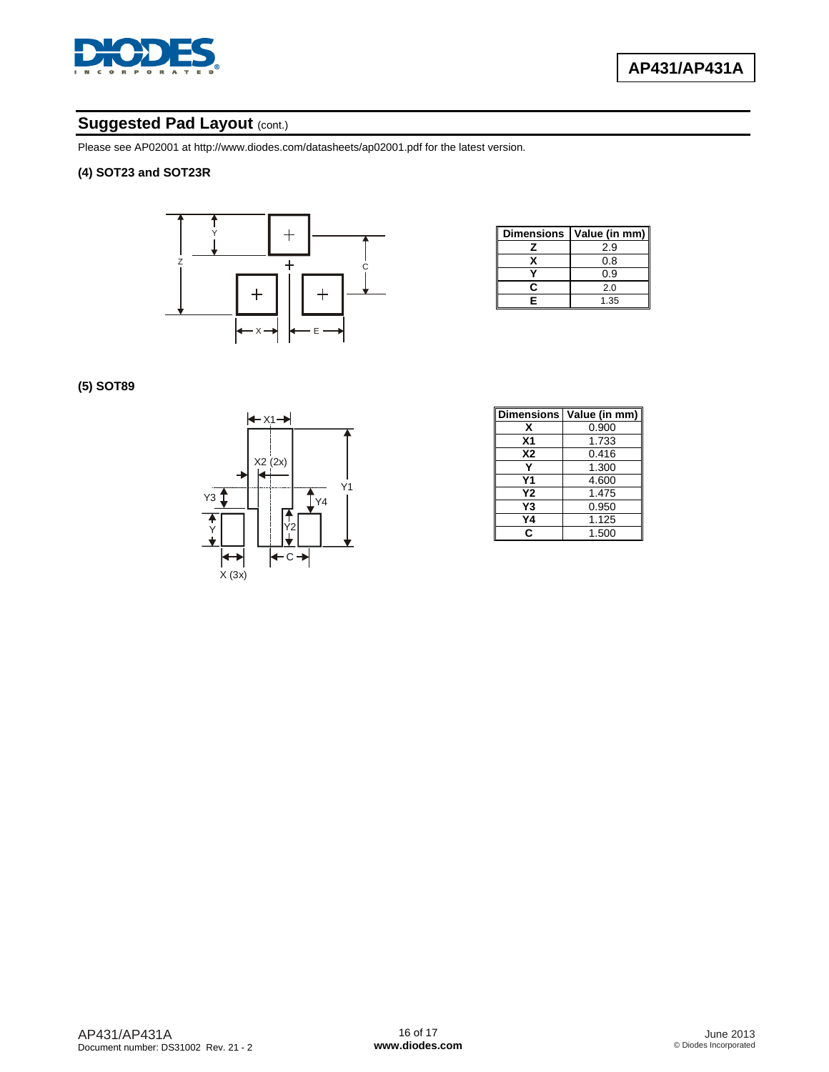![](_page_15_Picture_0.jpeg)

### **Suggested Pad Layout (cont.)**

Please see AP02001 at [http://www.diodes.com/datasheets/ap02001.pdf fo](http://www.diodes.com/datasheets/ap02001.pdf)r the latest version.

#### **(4) SOT23 and SOT23R**

![](_page_15_Figure_5.jpeg)

| Dimensions | Value (in mm) |
|------------|---------------|
|            | 2.9           |
| x          | 0.8           |
|            | 0.9           |
| r          | 2.0           |
| Е          | 1.35          |

**(5) SOT89** 

![](_page_15_Figure_8.jpeg)

| <b>Dimensions</b> | Value (in mm) |
|-------------------|---------------|
| x                 | 0.900         |
| X <sub>1</sub>    | 1.733         |
| <b>X2</b>         | 0.416         |
|                   | 1.300         |
| Υ1                | 4.600         |
| Υ2                | 1.475         |
| Y3                | 0.950         |
| Υ4                | 1.125         |
| C                 | 1.500         |